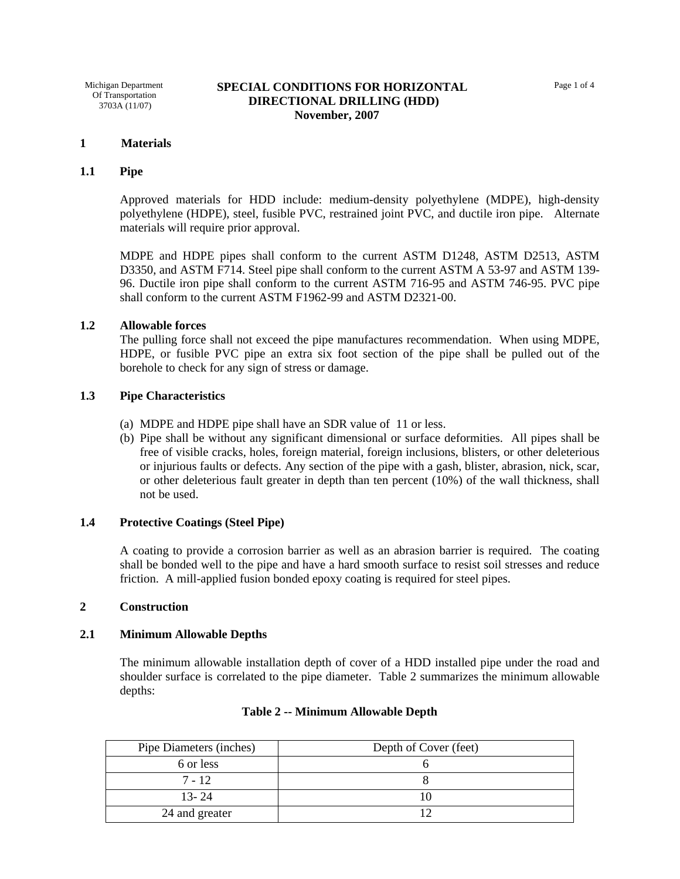### **1 Materials**

## **1.1 Pipe**

Approved materials for HDD include: medium-density polyethylene (MDPE), high-density polyethylene (HDPE), steel, fusible PVC, restrained joint PVC, and ductile iron pipe. Alternate materials will require prior approval.

MDPE and HDPE pipes shall conform to the current ASTM D1248, ASTM D2513, ASTM D3350, and ASTM F714. Steel pipe shall conform to the current ASTM A 53-97 and ASTM 139- 96. Ductile iron pipe shall conform to the current ASTM 716-95 and ASTM 746-95. PVC pipe shall conform to the current ASTM F1962-99 and ASTM D2321-00.

## **1.2 Allowable forces**

The pulling force shall not exceed the pipe manufactures recommendation. When using MDPE, HDPE, or fusible PVC pipe an extra six foot section of the pipe shall be pulled out of the borehole to check for any sign of stress or damage.

## **1.3 Pipe Characteristics**

- (a) MDPE and HDPE pipe shall have an SDR value of 11 or less.
- (b) Pipe shall be without any significant dimensional or surface deformities. All pipes shall be free of visible cracks, holes, foreign material, foreign inclusions, blisters, or other deleterious or injurious faults or defects. Any section of the pipe with a gash, blister, abrasion, nick, scar, or other deleterious fault greater in depth than ten percent (10%) of the wall thickness, shall not be used.

#### **1.4 Protective Coatings (Steel Pipe)**

A coating to provide a corrosion barrier as well as an abrasion barrier is required. The coating shall be bonded well to the pipe and have a hard smooth surface to resist soil stresses and reduce friction. A mill-applied fusion bonded epoxy coating is required for steel pipes.

### **2 Construction**

### **2.1 Minimum Allowable Depths**

The minimum allowable installation depth of cover of a HDD installed pipe under the road and shoulder surface is correlated to the pipe diameter. Table 2 summarizes the minimum allowable depths:

| Pipe Diameters (inches) | Depth of Cover (feet) |
|-------------------------|-----------------------|
| 6 or less               |                       |
| $7 - 12$                |                       |
| $13 - 24$               |                       |
| 24 and greater          |                       |

### **Table 2 -- Minimum Allowable Depth**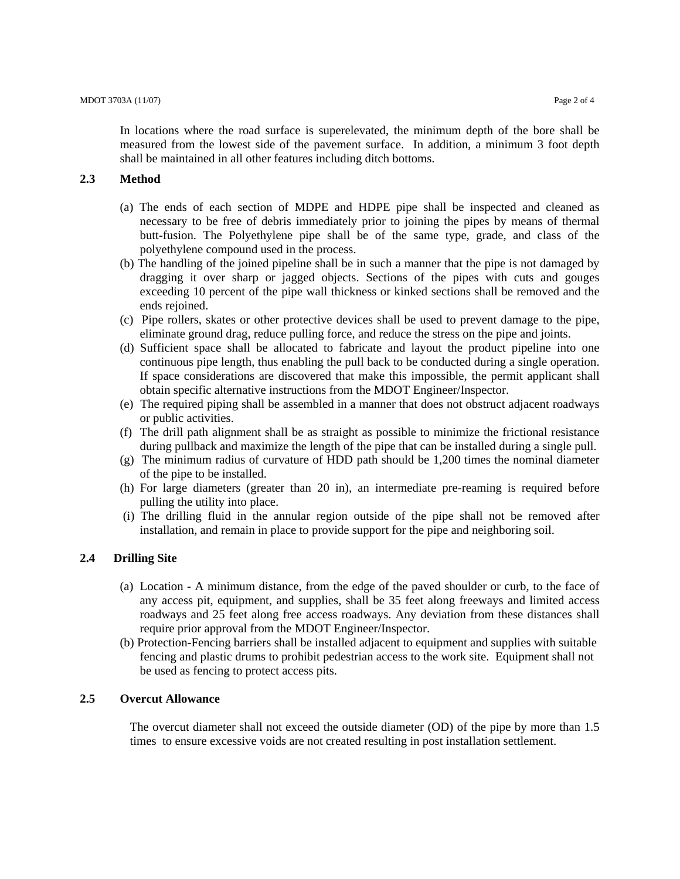In locations where the road surface is superelevated, the minimum depth of the bore shall be measured from the lowest side of the pavement surface. In addition, a minimum 3 foot depth shall be maintained in all other features including ditch bottoms.

# **2.3 Method**

- (a) The ends of each section of MDPE and HDPE pipe shall be inspected and cleaned as necessary to be free of debris immediately prior to joining the pipes by means of thermal butt-fusion. The Polyethylene pipe shall be of the same type, grade, and class of the polyethylene compound used in the process.
- (b) The handling of the joined pipeline shall be in such a manner that the pipe is not damaged by dragging it over sharp or jagged objects. Sections of the pipes with cuts and gouges exceeding 10 percent of the pipe wall thickness or kinked sections shall be removed and the ends rejoined.
- (c) Pipe rollers, skates or other protective devices shall be used to prevent damage to the pipe, eliminate ground drag, reduce pulling force, and reduce the stress on the pipe and joints.
- (d) Sufficient space shall be allocated to fabricate and layout the product pipeline into one continuous pipe length, thus enabling the pull back to be conducted during a single operation. If space considerations are discovered that make this impossible, the permit applicant shall obtain specific alternative instructions from the MDOT Engineer/Inspector.
- (e) The required piping shall be assembled in a manner that does not obstruct adjacent roadways or public activities.
- (f) The drill path alignment shall be as straight as possible to minimize the frictional resistance during pullback and maximize the length of the pipe that can be installed during a single pull.
- $(g)$  The minimum radius of curvature of HDD path should be 1,200 times the nominal diameter of the pipe to be installed.
- (h) For large diameters (greater than 20 in), an intermediate pre-reaming is required before pulling the utility into place.
- (i) The drilling fluid in the annular region outside of the pipe shall not be removed after installation, and remain in place to provide support for the pipe and neighboring soil.

## **2.4 Drilling Site**

- (a) Location A minimum distance, from the edge of the paved shoulder or curb, to the face of any access pit, equipment, and supplies, shall be 35 feet along freeways and limited access roadways and 25 feet along free access roadways. Any deviation from these distances shall require prior approval from the MDOT Engineer/Inspector.
- (b) Protection-Fencing barriers shall be installed adjacent to equipment and supplies with suitable fencing and plastic drums to prohibit pedestrian access to the work site. Equipment shall not be used as fencing to protect access pits.

# **2.5 Overcut Allowance**

The overcut diameter shall not exceed the outside diameter (OD) of the pipe by more than 1.5 times to ensure excessive voids are not created resulting in post installation settlement.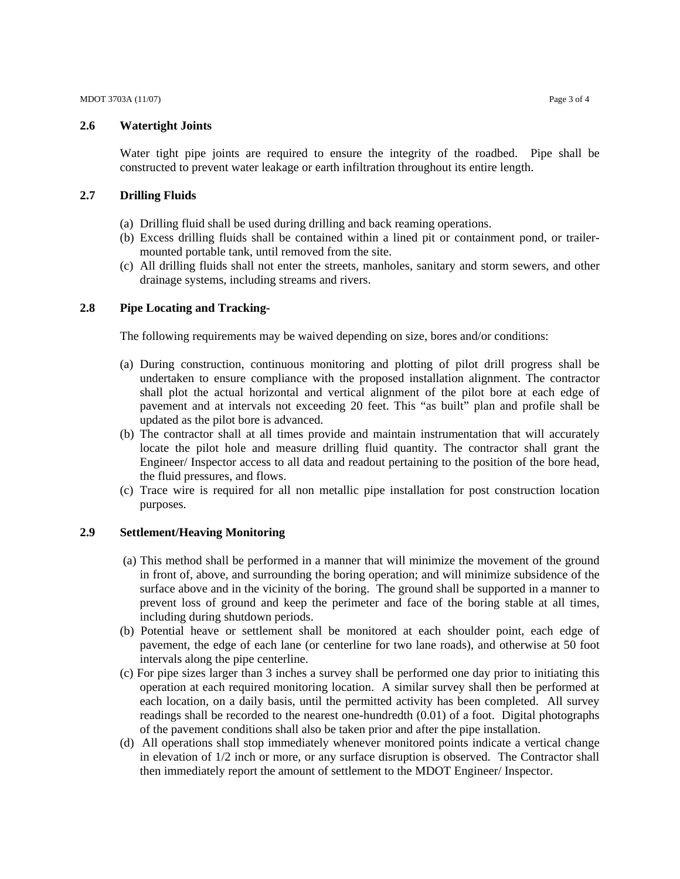MDOT 3703A (11/07) Page 3 of 4

### **2.6 Watertight Joints**

Water tight pipe joints are required to ensure the integrity of the roadbed. Pipe shall be constructed to prevent water leakage or earth infiltration throughout its entire length.

# **2.7 Drilling Fluids**

- (a) Drilling fluid shall be used during drilling and back reaming operations.
- (b) Excess drilling fluids shall be contained within a lined pit or containment pond, or trailermounted portable tank, until removed from the site.
- (c) All drilling fluids shall not enter the streets, manholes, sanitary and storm sewers, and other drainage systems, including streams and rivers.

## **2.8 Pipe Locating and Tracking-**

The following requirements may be waived depending on size, bores and/or conditions:

- (a) During construction, continuous monitoring and plotting of pilot drill progress shall be undertaken to ensure compliance with the proposed installation alignment. The contractor shall plot the actual horizontal and vertical alignment of the pilot bore at each edge of pavement and at intervals not exceeding 20 feet. This "as built" plan and profile shall be updated as the pilot bore is advanced.
- (b) The contractor shall at all times provide and maintain instrumentation that will accurately locate the pilot hole and measure drilling fluid quantity. The contractor shall grant the Engineer/ Inspector access to all data and readout pertaining to the position of the bore head, the fluid pressures, and flows.
- (c) Trace wire is required for all non metallic pipe installation for post construction location purposes.

## **2.9 Settlement/Heaving Monitoring**

- (a) This method shall be performed in a manner that will minimize the movement of the ground in front of, above, and surrounding the boring operation; and will minimize subsidence of the surface above and in the vicinity of the boring. The ground shall be supported in a manner to prevent loss of ground and keep the perimeter and face of the boring stable at all times, including during shutdown periods.
- (b) Potential heave or settlement shall be monitored at each shoulder point, each edge of pavement, the edge of each lane (or centerline for two lane roads), and otherwise at 50 foot intervals along the pipe centerline.
- (c) For pipe sizes larger than 3 inches a survey shall be performed one day prior to initiating this operation at each required monitoring location. A similar survey shall then be performed at each location, on a daily basis, until the permitted activity has been completed. All survey readings shall be recorded to the nearest one-hundredth (0.01) of a foot. Digital photographs of the pavement conditions shall also be taken prior and after the pipe installation.
- (d) All operations shall stop immediately whenever monitored points indicate a vertical change in elevation of 1/2 inch or more, or any surface disruption is observed. The Contractor shall then immediately report the amount of settlement to the MDOT Engineer/ Inspector.